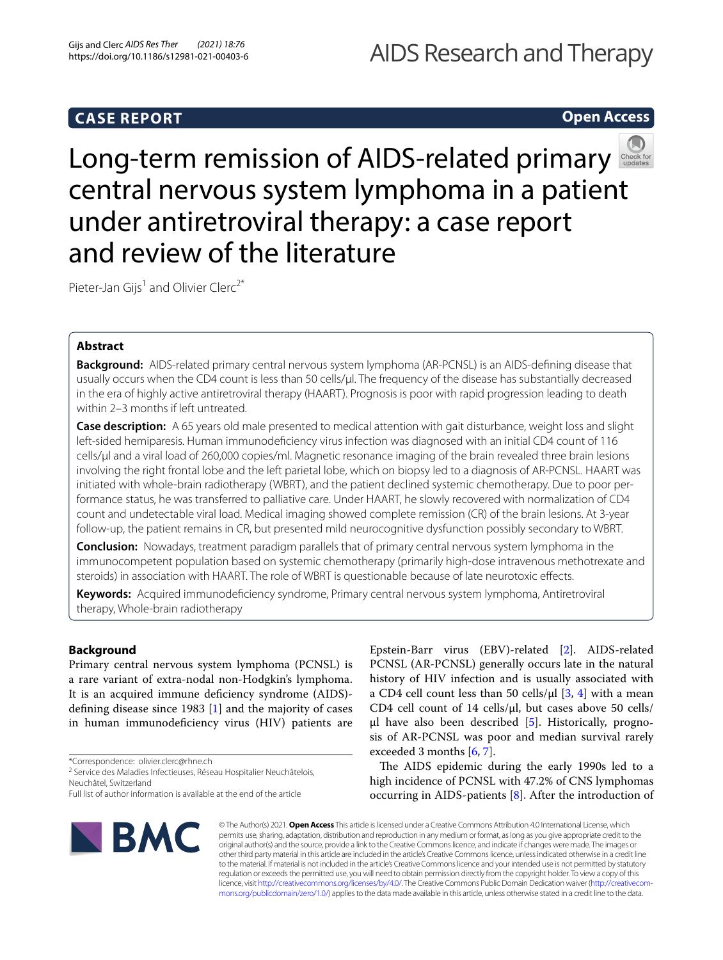# **CASE REPORT**

## **Open Access**



Long-termremission of AIDS-related primary central nervous system lymphoma in a patient under antiretroviral therapy: a case report and review of the literature

Pieter-Jan Gijs<sup>1</sup> and Olivier Clerc<sup>2\*</sup>

## **Abstract**

**Background:** AIDS-related primary central nervous system lymphoma (AR-PCNSL) is an AIDS-defning disease that usually occurs when the CD4 count is less than 50 cells/ul. The frequency of the disease has substantially decreased in the era of highly active antiretroviral therapy (HAART). Prognosis is poor with rapid progression leading to death within 2–3 months if left untreated.

**Case description:** A 65 years old male presented to medical attention with gait disturbance, weight loss and slight left-sided hemiparesis. Human immunodefciency virus infection was diagnosed with an initial CD4 count of 116 cells/µl and a viral load of 260,000 copies/ml. Magnetic resonance imaging of the brain revealed three brain lesions involving the right frontal lobe and the left parietal lobe, which on biopsy led to a diagnosis of AR-PCNSL. HAART was initiated with whole-brain radiotherapy (WBRT), and the patient declined systemic chemotherapy. Due to poor per‑ formance status, he was transferred to palliative care. Under HAART, he slowly recovered with normalization of CD4 count and undetectable viral load. Medical imaging showed complete remission (CR) of the brain lesions. At 3-year follow-up, the patient remains in CR, but presented mild neurocognitive dysfunction possibly secondary to WBRT.

**Conclusion:** Nowadays, treatment paradigm parallels that of primary central nervous system lymphoma in the immunocompetent population based on systemic chemotherapy (primarily high-dose intravenous methotrexate and steroids) in association with HAART. The role of WBRT is questionable because of late neurotoxic efects.

**Keywords:** Acquired immunodefciency syndrome, Primary central nervous system lymphoma, Antiretroviral therapy, Whole-brain radiotherapy

## **Background**

Primary central nervous system lymphoma (PCNSL) is a rare variant of extra-nodal non-Hodgkin's lymphoma. It is an acquired immune defciency syndrome (AIDS) defning disease since 1983 [\[1\]](#page-3-0) and the majority of cases in human immunodefciency virus (HIV) patients are

\*Correspondence: olivier.clerc@rhne.ch

<sup>2</sup> Service des Maladies Infectieuses, Réseau Hospitalier Neuchâtelois, Neuchâtel, Switzerland

Epstein-Barr virus (EBV)-related [\[2](#page-3-1)]. AIDS-related PCNSL (AR-PCNSL) generally occurs late in the natural history of HIV infection and is usually associated with a CD4 cell count less than 50 cells/ $\mu$ l [[3](#page-3-2), [4\]](#page-3-3) with a mean CD4 cell count of 14 cells/µl, but cases above 50 cells/  $\mu$ l have also been described [[5\]](#page-3-4). Historically, prognosis of AR-PCNSL was poor and median survival rarely exceeded 3 months [[6,](#page-4-0) [7\]](#page-4-1).

The AIDS epidemic during the early 1990s led to a high incidence of PCNSL with 47.2% of CNS lymphomas occurring in AIDS-patients [\[8](#page-4-2)]. After the introduction of



© The Author(s) 2021. **Open Access** This article is licensed under a Creative Commons Attribution 4.0 International License, which permits use, sharing, adaptation, distribution and reproduction in any medium or format, as long as you give appropriate credit to the original author(s) and the source, provide a link to the Creative Commons licence, and indicate if changes were made. The images or other third party material in this article are included in the article's Creative Commons licence, unless indicated otherwise in a credit line to the material. If material is not included in the article's Creative Commons licence and your intended use is not permitted by statutory regulation or exceeds the permitted use, you will need to obtain permission directly from the copyright holder. To view a copy of this licence, visit [http://creativecommons.org/licenses/by/4.0/.](http://creativecommons.org/licenses/by/4.0/) The Creative Commons Public Domain Dedication waiver (http://creativecom[mons.org/publicdomain/zero/1.0/\)](http://creativecommons.org/publicdomain/zero/1.0/) applies to the data made available in this article, unless otherwise stated in a credit line to the data.

Full list of author information is available at the end of the article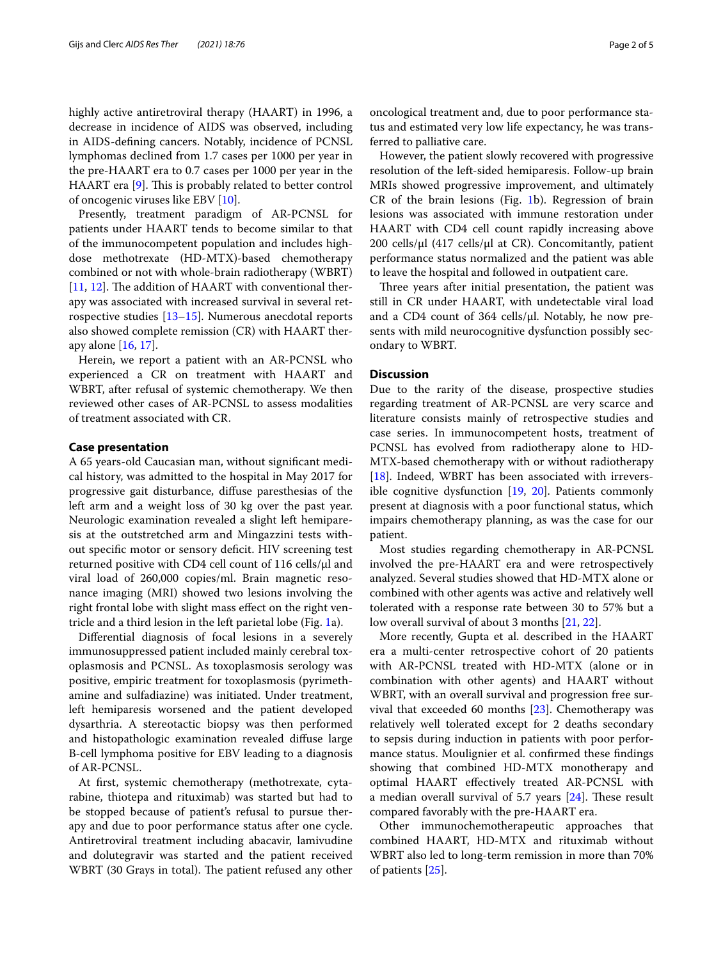highly active antiretroviral therapy (HAART) in 1996, a decrease in incidence of AIDS was observed, including in AIDS-defning cancers. Notably, incidence of PCNSL lymphomas declined from 1.7 cases per 1000 per year in the pre-HAART era to 0.7 cases per 1000 per year in the HAART era [[9\]](#page-4-3). This is probably related to better control of oncogenic viruses like EBV [[10\]](#page-4-4).

Presently, treatment paradigm of AR-PCNSL for patients under HAART tends to become similar to that of the immunocompetent population and includes highdose methotrexate (HD-MTX)-based chemotherapy combined or not with whole-brain radiotherapy (WBRT) [[11,](#page-4-5) [12](#page-4-6)]. The addition of HAART with conventional therapy was associated with increased survival in several retrospective studies [[13–](#page-4-7)[15\]](#page-4-8). Numerous anecdotal reports also showed complete remission (CR) with HAART therapy alone [[16,](#page-4-9) [17\]](#page-4-10).

Herein, we report a patient with an AR-PCNSL who experienced a CR on treatment with HAART and WBRT, after refusal of systemic chemotherapy. We then reviewed other cases of AR-PCNSL to assess modalities of treatment associated with CR.

## **Case presentation**

A 65 years-old Caucasian man, without signifcant medical history, was admitted to the hospital in May 2017 for progressive gait disturbance, difuse paresthesias of the left arm and a weight loss of 30 kg over the past year. Neurologic examination revealed a slight left hemiparesis at the outstretched arm and Mingazzini tests without specifc motor or sensory defcit. HIV screening test returned positive with CD4 cell count of  $116$  cells/ $\mu$ l and viral load of 260,000 copies/ml. Brain magnetic resonance imaging (MRI) showed two lesions involving the right frontal lobe with slight mass efect on the right ventricle and a third lesion in the left parietal lobe (Fig. [1](#page-2-0)a).

Diferential diagnosis of focal lesions in a severely immunosuppressed patient included mainly cerebral toxoplasmosis and PCNSL. As toxoplasmosis serology was positive, empiric treatment for toxoplasmosis (pyrimethamine and sulfadiazine) was initiated. Under treatment, left hemiparesis worsened and the patient developed dysarthria. A stereotactic biopsy was then performed and histopathologic examination revealed difuse large B-cell lymphoma positive for EBV leading to a diagnosis of AR-PCNSL.

At frst, systemic chemotherapy (methotrexate, cytarabine, thiotepa and rituximab) was started but had to be stopped because of patient's refusal to pursue therapy and due to poor performance status after one cycle. Antiretroviral treatment including abacavir, lamivudine and dolutegravir was started and the patient received WBRT (30 Grays in total). The patient refused any other

oncological treatment and, due to poor performance status and estimated very low life expectancy, he was transferred to palliative care.

However, the patient slowly recovered with progressive resolution of the left-sided hemiparesis. Follow-up brain MRIs showed progressive improvement, and ultimately CR of the brain lesions (Fig. [1b](#page-2-0)). Regression of brain lesions was associated with immune restoration under HAART with CD4 cell count rapidly increasing above 200 cells/µl (417 cells/µl at CR). Concomitantly, patient performance status normalized and the patient was able to leave the hospital and followed in outpatient care.

Three years after initial presentation, the patient was still in CR under HAART, with undetectable viral load and a CD4 count of 364 cells/µl. Notably, he now presents with mild neurocognitive dysfunction possibly secondary to WBRT.

## **Discussion**

Due to the rarity of the disease, prospective studies regarding treatment of AR-PCNSL are very scarce and literature consists mainly of retrospective studies and case series. In immunocompetent hosts, treatment of PCNSL has evolved from radiotherapy alone to HD-MTX-based chemotherapy with or without radiotherapy [[18\]](#page-4-11). Indeed, WBRT has been associated with irreversible cognitive dysfunction [[19,](#page-4-12) [20\]](#page-4-13). Patients commonly present at diagnosis with a poor functional status, which impairs chemotherapy planning, as was the case for our patient.

Most studies regarding chemotherapy in AR-PCNSL involved the pre-HAART era and were retrospectively analyzed. Several studies showed that HD-MTX alone or combined with other agents was active and relatively well tolerated with a response rate between 30 to 57% but a low overall survival of about 3 months [[21,](#page-4-14) [22](#page-4-15)].

More recently, Gupta et al. described in the HAART era a multi-center retrospective cohort of 20 patients with AR-PCNSL treated with HD-MTX (alone or in combination with other agents) and HAART without WBRT, with an overall survival and progression free survival that exceeded 60 months [[23\]](#page-4-16). Chemotherapy was relatively well tolerated except for 2 deaths secondary to sepsis during induction in patients with poor performance status. Moulignier et al. confrmed these fndings showing that combined HD-MTX monotherapy and optimal HAART efectively treated AR-PCNSL with a median overall survival of 5.7 years  $[24]$ . These result compared favorably with the pre-HAART era.

Other immunochemotherapeutic approaches that combined HAART, HD-MTX and rituximab without WBRT also led to long-term remission in more than 70% of patients [\[25](#page-4-18)].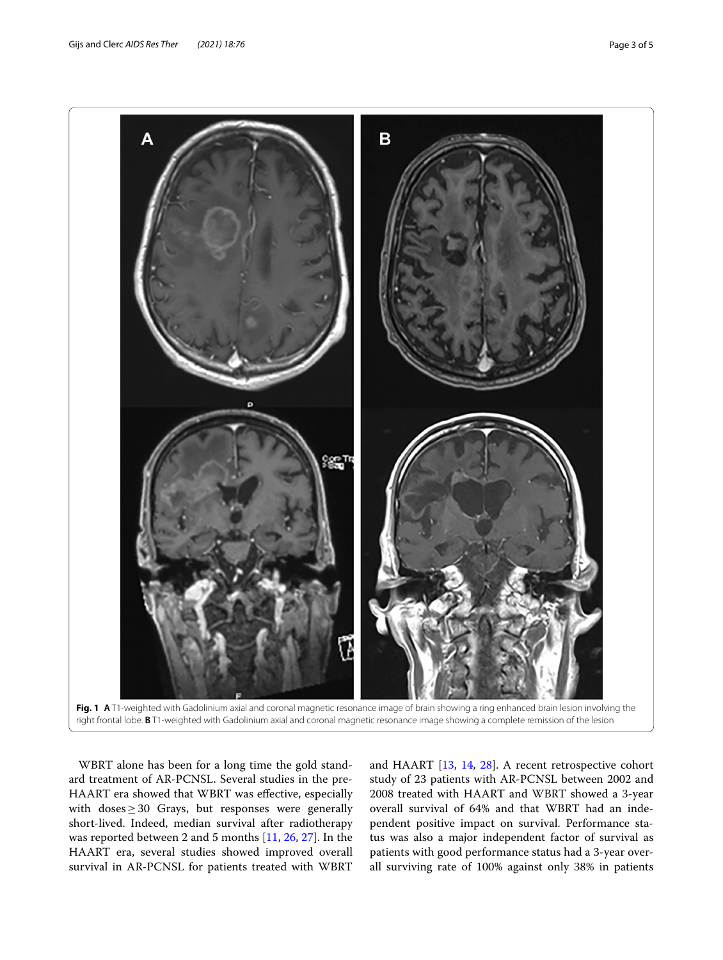

<span id="page-2-0"></span>

WBRT alone has been for a long time the gold standard treatment of AR-PCNSL. Several studies in the pre-HAART era showed that WBRT was efective, especially with doses $\geq$  30 Grays, but responses were generally short-lived. Indeed, median survival after radiotherapy was reported between 2 and 5 months [\[11](#page-4-5), [26,](#page-4-19) [27](#page-4-20)]. In the HAART era, several studies showed improved overall survival in AR-PCNSL for patients treated with WBRT and HAART [\[13](#page-4-7), [14,](#page-4-21) [28\]](#page-4-22). A recent retrospective cohort study of 23 patients with AR-PCNSL between 2002 and 2008 treated with HAART and WBRT showed a 3-year overall survival of 64% and that WBRT had an independent positive impact on survival. Performance status was also a major independent factor of survival as patients with good performance status had a 3-year overall surviving rate of 100% against only 38% in patients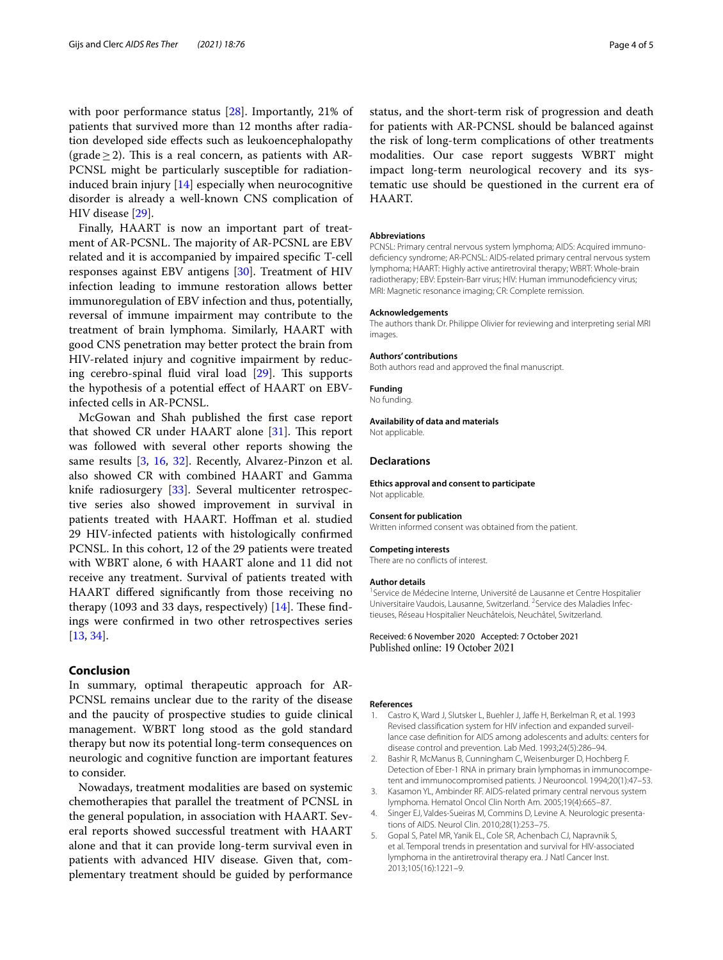with poor performance status [[28](#page-4-22)]. Importantly, 21% of patients that survived more than 12 months after radiation developed side efects such as leukoencephalopathy (grade  $\geq$  2). This is a real concern, as patients with AR-PCNSL might be particularly susceptible for radiationinduced brain injury [\[14](#page-4-21)] especially when neurocognitive disorder is already a well-known CNS complication of HIV disease [[29](#page-4-23)].

Finally, HAART is now an important part of treatment of AR-PCSNL. The majority of AR-PCSNL are EBV related and it is accompanied by impaired specifc T-cell responses against EBV antigens [[30](#page-4-24)]. Treatment of HIV infection leading to immune restoration allows better immunoregulation of EBV infection and thus, potentially, reversal of immune impairment may contribute to the treatment of brain lymphoma. Similarly, HAART with good CNS penetration may better protect the brain from HIV-related injury and cognitive impairment by reducing cerebro-spinal fluid viral load  $[29]$  $[29]$  $[29]$ . This supports the hypothesis of a potential efect of HAART on EBVinfected cells in AR-PCNSL.

McGowan and Shah published the frst case report that showed CR under HAART alone  $[31]$  $[31]$ . This report was followed with several other reports showing the same results [[3,](#page-3-2) [16](#page-4-9), [32](#page-4-26)]. Recently, Alvarez-Pinzon et al. also showed CR with combined HAART and Gamma knife radiosurgery [[33\]](#page-4-27). Several multicenter retrospective series also showed improvement in survival in patients treated with HAART. Hofman et al. studied 29 HIV-infected patients with histologically confrmed PCNSL. In this cohort, 12 of the 29 patients were treated with WBRT alone, 6 with HAART alone and 11 did not receive any treatment. Survival of patients treated with HAART difered signifcantly from those receiving no therapy (1093 and 33 days, respectively)  $[14]$  $[14]$  $[14]$ . These findings were confrmed in two other retrospectives series [[13,](#page-4-7) [34](#page-4-28)].

## **Conclusion**

In summary, optimal therapeutic approach for AR-PCNSL remains unclear due to the rarity of the disease and the paucity of prospective studies to guide clinical management. WBRT long stood as the gold standard therapy but now its potential long-term consequences on neurologic and cognitive function are important features to consider.

Nowadays, treatment modalities are based on systemic chemotherapies that parallel the treatment of PCNSL in the general population, in association with HAART. Several reports showed successful treatment with HAART alone and that it can provide long-term survival even in patients with advanced HIV disease. Given that, complementary treatment should be guided by performance status, and the short-term risk of progression and death for patients with AR-PCNSL should be balanced against the risk of long-term complications of other treatments modalities. Our case report suggests WBRT might impact long-term neurological recovery and its systematic use should be questioned in the current era of HAART.

#### **Abbreviations**

PCNSL: Primary central nervous system lymphoma; AIDS: Acquired immunodefciency syndrome; AR-PCNSL: AIDS-related primary central nervous system lymphoma; HAART: Highly active antiretroviral therapy; WBRT: Whole-brain radiotherapy; EBV: Epstein-Barr virus; HIV: Human immunodefciency virus; MRI: Magnetic resonance imaging; CR: Complete remission.

#### **Acknowledgements**

The authors thank Dr. Philippe Olivier for reviewing and interpreting serial MRI images.

#### **Authors' contributions**

Both authors read and approved the fnal manuscript.

#### **Funding**

No funding.

## **Availability of data and materials**

Not applicable.

## **Declarations**

**Ethics approval and consent to participate** Not applicable.

#### **Consent for publication**

Written informed consent was obtained from the patient.

#### **Competing interests**

There are no conficts of interest.

#### **Author details**

<sup>1</sup> Service de Médecine Interne, Université de Lausanne et Centre Hospitalier Universitaire Vaudois, Lausanne, Switzerland. <sup>2</sup> Service des Maladies Infectieuses, Réseau Hospitalier Neuchâtelois, Neuchâtel, Switzerland.

Received: 6 November 2020 Accepted: 7 October 2021 Published online: 19 October 2021

### **References**

- <span id="page-3-0"></span>1. Castro K, Ward J, Slutsker L, Buehler J, Jaffe H, Berkelman R, et al. 1993 Revised classification system for HIV infection and expanded surveillance case defnition for AIDS among adolescents and adults: centers for disease control and prevention. Lab Med. 1993;24(5):286–94.
- <span id="page-3-1"></span>2. Bashir R, McManus B, Cunningham C, Weisenburger D, Hochberg F. Detection of Eber-1 RNA in primary brain lymphomas in immunocompetent and immunocompromised patients. J Neurooncol. 1994;20(1):47–53.
- <span id="page-3-2"></span>3. Kasamon YL, Ambinder RF. AIDS-related primary central nervous system lymphoma. Hematol Oncol Clin North Am. 2005;19(4):665–87.
- <span id="page-3-3"></span>4. Singer EJ, Valdes-Sueiras M, Commins D, Levine A, Neurologic presentations of AIDS. Neurol Clin. 2010;28(1):253–75.
- <span id="page-3-4"></span>5. Gopal S, Patel MR, Yanik EL, Cole SR, Achenbach CJ, Napravnik S, et al. Temporal trends in presentation and survival for HIV-associated lymphoma in the antiretroviral therapy era. J Natl Cancer Inst. 2013;105(16):1221–9.